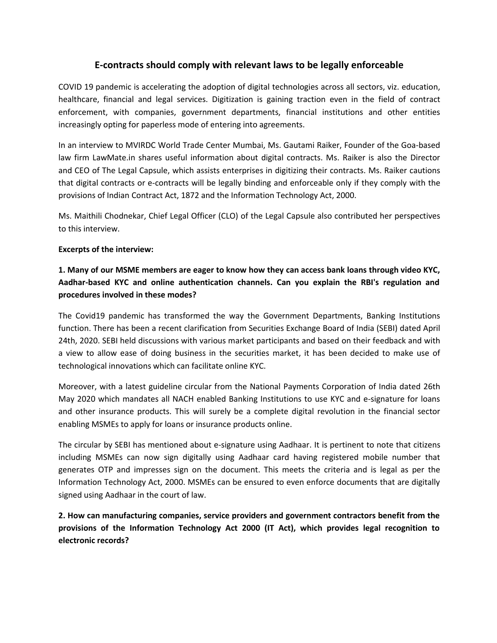### **E-contracts should comply with relevant laws to be legally enforceable**

COVID 19 pandemic is accelerating the adoption of digital technologies across all sectors, viz. education, healthcare, financial and legal services. Digitization is gaining traction even in the field of contract enforcement, with companies, government departments, financial institutions and other entities increasingly opting for paperless mode of entering into agreements.

In an interview to MVIRDC World Trade Center Mumbai, Ms. Gautami Raiker, Founder of the Goa-based law firm LawMate.in shares useful information about digital contracts. Ms. Raiker is also the Director and CEO of The Legal Capsule, which assists enterprises in digitizing their contracts. Ms. Raiker cautions that digital contracts or e-contracts will be legally binding and enforceable only if they comply with the provisions of Indian Contract Act, 1872 and the Information Technology Act, 2000.

Ms. Maithili Chodnekar, Chief Legal Officer (CLO) of the Legal Capsule also contributed her perspectives to this interview.

#### **Excerpts of the interview:**

# **1. Many of our MSME members are eager to know how they can accessbank loans through video KYC, Aadhar-based KYC and online authentication channels. Can you explain the RBI's regulation and procedures involved in these modes?**

The Covid19 pandemic has transformed the way the Government Departments, Banking Institutions function. There has been a recent clarification from Securities Exchange Board of India (SEBI) dated April 24th, 2020. SEBI held discussions with various market participants and based on their feedback and with a view to allow ease of doing business in the securities market, it has been decided to make use of technological innovations which can facilitate online KYC.

Moreover, with a latest guideline circular from the National Payments Corporation of India dated 26th May 2020 which mandates all NACH enabled Banking Institutions to use KYC and e-signature for loans and other insurance products. This will surely be a complete digital revolution in the financial sector enabling MSMEs to apply for loans or insurance products online.

The circular by SEBI has mentioned about e-signature using Aadhaar. It is pertinent to note that citizens including MSMEs can now sign digitally using Aadhaar card having registered mobile number that generates OTP and impresses sign on the document. This meets the criteria and is legal as per the Information Technology Act, 2000. MSMEs can be ensured to even enforce documents that are digitally signed using Aadhaar in the court of law.

**2. How can manufacturing companies, service providers and government contractors benefit from the provisions of the Information Technology Act 2000 (IT Act), which provides legal recognition to electronic records?**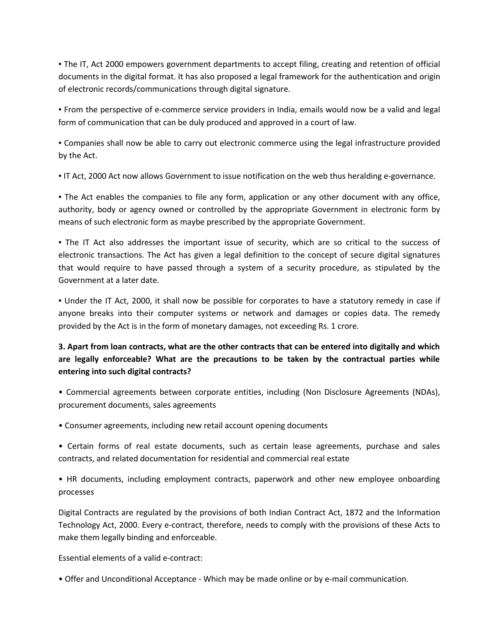▪ The IT, Act 2000 empowers government departments to accept filing, creating and retention of official documents in the digital format. It has also proposed a legal framework for the authentication and origin of electronic records/communications through digital signature.

▪ From the perspective of e-commerce service providers in India, emails would now be a valid and legal form of communication that can be duly produced and approved in a court of law.

▪ Companies shall now be able to carry out electronic commerce using the legal infrastructure provided by the Act.

▪ IT Act, 2000 Act now allows Government to issue notification on the web thus heralding e-governance.

▪ The Act enables the companies to file any form, application or any other document with any office, authority, body or agency owned or controlled by the appropriate Government in electronic form by means of such electronic form as maybe prescribed by the appropriate Government.

. The IT Act also addresses the important issue of security, which are so critical to the success of electronic transactions. The Act has given a legal definition to the concept of secure digital signatures that would require to have passed through a system of a security procedure, as stipulated by the Government at a later date.

. Under the IT Act, 2000, it shall now be possible for corporates to have a statutory remedy in case if anyone breaks into their computer systems or network and damages or copies data. The remedy provided by the Act is in the form of monetary damages, not exceeding Rs. 1 crore.

# 3. Apart from loan contracts, what are the other contracts that can be entered into digitally and which **are legally enforceable? What are the precautions to be taken by the contractual parties while entering into such digital contracts?**

• Commercial agreements between corporate entities, including (Non Disclosure Agreements (NDAs), procurement documents, sales agreements

- Consumer agreements, including new retail account opening documents
- Certain forms of real estate documents, such as certain lease agreements, purchase and sales contracts, and related documentation for residential and commercial real estate

• HR documents, including employment contracts, paperwork and other new employee onboarding processes

Digital Contracts are regulated by the provisions of both Indian Contract Act, 1872 and the Information Technology Act, 2000. Every e-contract, therefore, needs to comply with the provisions of these Acts to make them legally binding and enforceable.

Essential elements of a valid e-contract:

• Offer and Unconditional Acceptance - Which may be made online or by e-mail communication.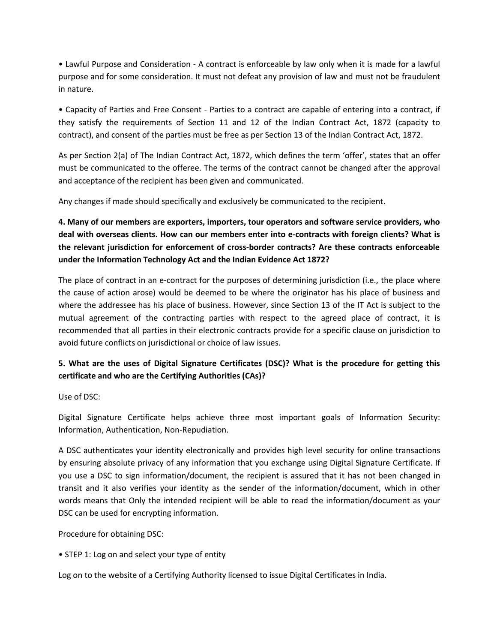• Lawful Purpose and Consideration - A contract is enforceable by law only when it is made for a lawful purpose and for some consideration. It must not defeat any provision of law and must not be fraudulent in nature.

• Capacity of Parties and Free Consent - Parties to a contract are capable of entering into a contract, if they satisfy the requirements of Section 11 and 12 of the Indian Contract Act, 1872 (capacity to contract), and consent of the parties must be free as per Section 13 of the Indian Contract Act, 1872.

As per Section 2(a) of The Indian Contract Act, 1872, which defines the term 'offer', states that an offer must be communicated to the offeree. The terms of the contract cannot be changed after the approval and acceptance of the recipient has been given and communicated.

Any changes if made should specifically and exclusively be communicated to the recipient.

**4. Many of our members are exporters, importers, tour operators and software service providers, who deal with overseas clients. How can our members enter into e-contracts with foreign clients? What is the relevant jurisdiction for enforcement of cross-border contracts? Are these contracts enforceable under the Information Technology Act and the Indian Evidence Act 1872?**

The place of contract in an e-contract for the purposes of determining jurisdiction (i.e., the place where the cause of action arose) would be deemed to be where the originator has his place of business and where the addressee has his place of business. However, since Section 13 of the IT Act is subject to the mutual agreement of the contracting parties with respect to the agreed place of contract, it is recommended that all parties in their electronic contracts provide for a specific clause on jurisdiction to avoid future conflicts on jurisdictional or choice of law issues.

## **5. What are the uses of Digital Signature Certificates (DSC)? What is the procedure for getting this certificate and who are the Certifying Authorities (CAs)?**

Use of DSC:

Digital Signature Certificate helps achieve three most important goals of Information Security: Information, Authentication, Non-Repudiation.

A DSC authenticates your identity electronically and provides high level security for online transactions by ensuring absolute privacy of any information that you exchange using Digital Signature Certificate. If you use a DSC to sign information/document, the recipient is assured that it has not been changed in transit and it also verifies your identity as the sender of the information/document, which in other words means that Only the intended recipient will be able to read the information/document as your DSC can be used for encrypting information.

Procedure for obtaining DSC:

• STEP 1: Log on and select your type of entity

Log on to the website of a Certifying Authority licensed to issue Digital Certificates in India.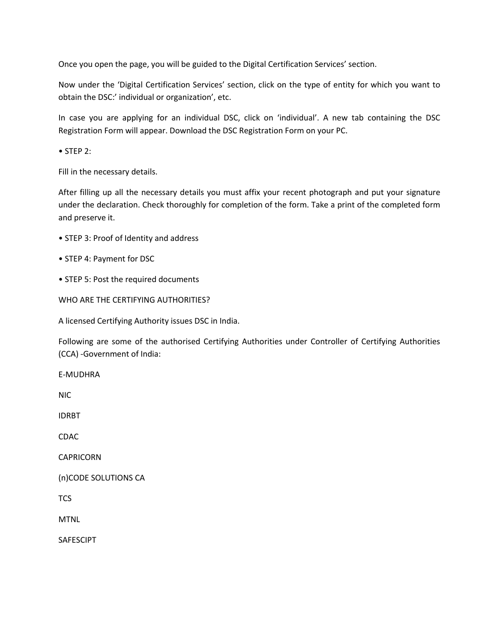Once you open the page, you will be guided to the Digital Certification Services' section.

Now under the 'Digital Certification Services' section, click on the type of entity for which you want to obtain the DSC:' individual or organization', etc.

In case you are applying for an individual DSC, click on 'individual'. A new tab containing the DSC Registration Form will appear. Download the DSC Registration Form on your PC.

• STEP 2:

Fill in the necessary details.

After filling up all the necessary details you must affix your recent photograph and put your signature under the declaration. Check thoroughly for completion of the form. Take a print of the completed form and preserve it.

- STEP 3: Proof of Identity and address
- STEP 4: Payment for DSC
- STEP 5: Post the required documents

WHO ARE THE CERTIFYING AUTHORITIES?

A licensed Certifying Authority issues DSC in India.

Following are some of the authorised Certifying Authorities under Controller of Certifying Authorities (CCA) -Government of India:

E-MUDHRA

NIC

IDRBT

CDAC

CAPRICORN

(n)CODE SOLUTIONS CA

TCS

MTNL

SAFESCIPT